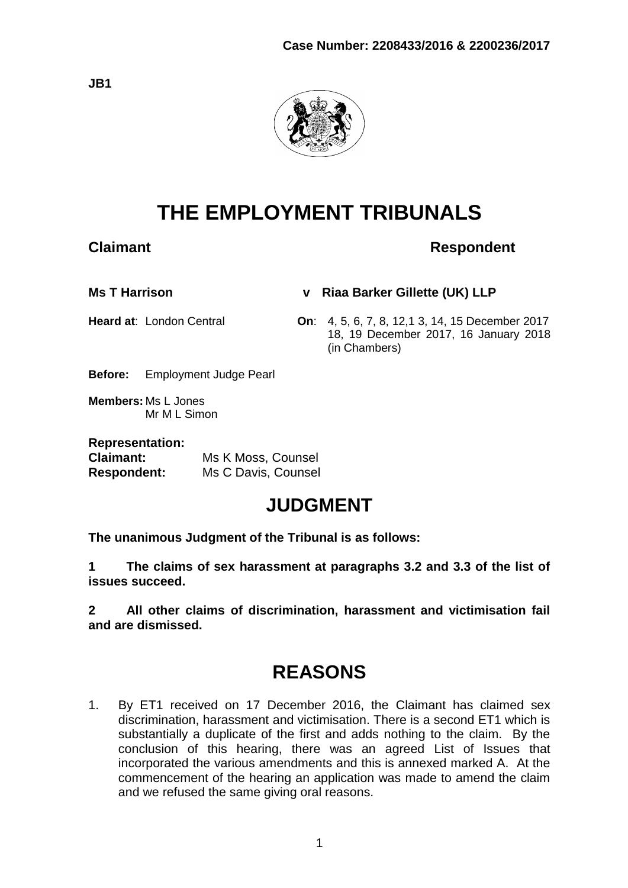

# **THE EMPLOYMENT TRIBUNALS**

# **Claimant Claimant Respondent**

**Ms T Harrison v Riaa Barker Gillette (UK) LLP**

**Heard at**: London Central **On**: 4, 5, 6, 7, 8, 12,1 3, 14, 15 December 2017 18, 19 December 2017, 16 January 2018 (in Chambers)

**Before:** Employment Judge Pearl

**Members:** Ms L Jones Mr M L Simon

| <b>Representation:</b> |                     |
|------------------------|---------------------|
| <b>Claimant:</b>       | Ms K Moss, Counsel  |
| <b>Respondent:</b>     | Ms C Davis, Counsel |

# **JUDGMENT**

**The unanimous Judgment of the Tribunal is as follows:**

**1 The claims of sex harassment at paragraphs 3.2 and 3.3 of the list of issues succeed.**

**2 All other claims of discrimination, harassment and victimisation fail and are dismissed.**

# **REASONS**

1. By ET1 received on 17 December 2016, the Claimant has claimed sex discrimination, harassment and victimisation. There is a second ET1 which is substantially a duplicate of the first and adds nothing to the claim. By the conclusion of this hearing, there was an agreed List of Issues that incorporated the various amendments and this is annexed marked A. At the commencement of the hearing an application was made to amend the claim and we refused the same giving oral reasons.

**JB1**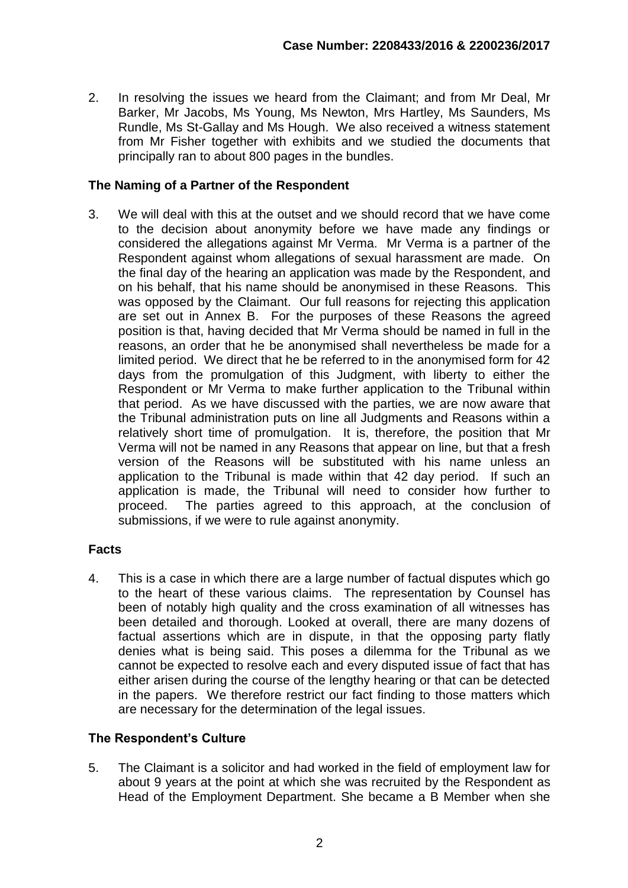2. In resolving the issues we heard from the Claimant; and from Mr Deal, Mr Barker, Mr Jacobs, Ms Young, Ms Newton, Mrs Hartley, Ms Saunders, Ms Rundle, Ms St-Gallay and Ms Hough. We also received a witness statement from Mr Fisher together with exhibits and we studied the documents that principally ran to about 800 pages in the bundles.

#### **The Naming of a Partner of the Respondent**

3. We will deal with this at the outset and we should record that we have come to the decision about anonymity before we have made any findings or considered the allegations against Mr Verma. Mr Verma is a partner of the Respondent against whom allegations of sexual harassment are made. On the final day of the hearing an application was made by the Respondent, and on his behalf, that his name should be anonymised in these Reasons. This was opposed by the Claimant. Our full reasons for rejecting this application are set out in Annex B. For the purposes of these Reasons the agreed position is that, having decided that Mr Verma should be named in full in the reasons, an order that he be anonymised shall nevertheless be made for a limited period. We direct that he be referred to in the anonymised form for 42 days from the promulgation of this Judgment, with liberty to either the Respondent or Mr Verma to make further application to the Tribunal within that period. As we have discussed with the parties, we are now aware that the Tribunal administration puts on line all Judgments and Reasons within a relatively short time of promulgation. It is, therefore, the position that Mr Verma will not be named in any Reasons that appear on line, but that a fresh version of the Reasons will be substituted with his name unless an application to the Tribunal is made within that 42 day period. If such an application is made, the Tribunal will need to consider how further to proceed. The parties agreed to this approach, at the conclusion of submissions, if we were to rule against anonymity.

# **Facts**

4. This is a case in which there are a large number of factual disputes which go to the heart of these various claims. The representation by Counsel has been of notably high quality and the cross examination of all witnesses has been detailed and thorough. Looked at overall, there are many dozens of factual assertions which are in dispute, in that the opposing party flatly denies what is being said. This poses a dilemma for the Tribunal as we cannot be expected to resolve each and every disputed issue of fact that has either arisen during the course of the lengthy hearing or that can be detected in the papers. We therefore restrict our fact finding to those matters which are necessary for the determination of the legal issues.

# **The Respondent's Culture**

5. The Claimant is a solicitor and had worked in the field of employment law for about 9 years at the point at which she was recruited by the Respondent as Head of the Employment Department. She became a B Member when she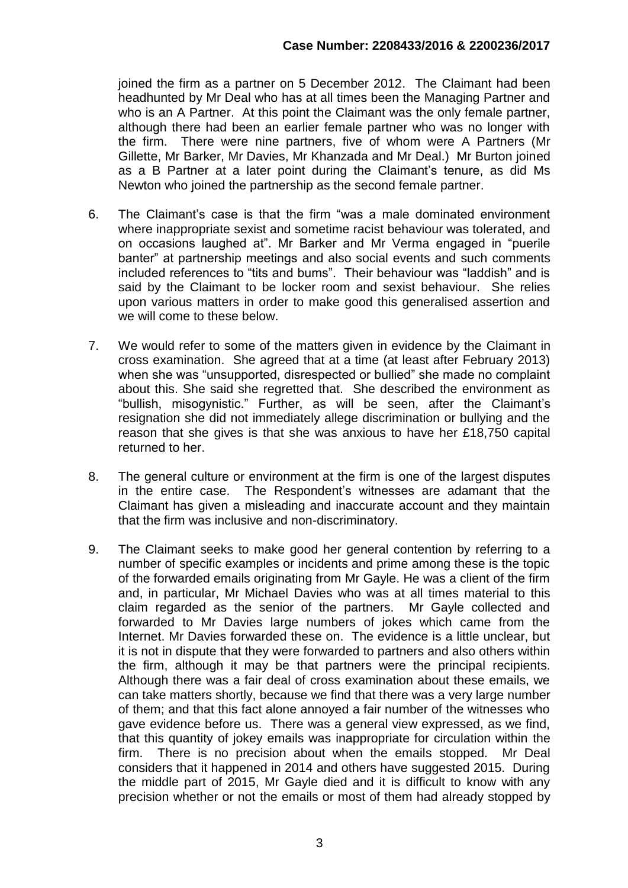joined the firm as a partner on 5 December 2012. The Claimant had been headhunted by Mr Deal who has at all times been the Managing Partner and who is an A Partner. At this point the Claimant was the only female partner, although there had been an earlier female partner who was no longer with the firm. There were nine partners, five of whom were A Partners (Mr Gillette, Mr Barker, Mr Davies, Mr Khanzada and Mr Deal.) Mr Burton joined as a B Partner at a later point during the Claimant's tenure, as did Ms Newton who joined the partnership as the second female partner.

- 6. The Claimant's case is that the firm "was a male dominated environment where inappropriate sexist and sometime racist behaviour was tolerated, and on occasions laughed at". Mr Barker and Mr Verma engaged in "puerile banter" at partnership meetings and also social events and such comments included references to "tits and bums". Their behaviour was "laddish" and is said by the Claimant to be locker room and sexist behaviour. She relies upon various matters in order to make good this generalised assertion and we will come to these below.
- 7. We would refer to some of the matters given in evidence by the Claimant in cross examination. She agreed that at a time (at least after February 2013) when she was "unsupported, disrespected or bullied" she made no complaint about this. She said she regretted that. She described the environment as "bullish, misogynistic." Further, as will be seen, after the Claimant's resignation she did not immediately allege discrimination or bullying and the reason that she gives is that she was anxious to have her £18,750 capital returned to her.
- 8. The general culture or environment at the firm is one of the largest disputes in the entire case. The Respondent's witnesses are adamant that the Claimant has given a misleading and inaccurate account and they maintain that the firm was inclusive and non-discriminatory.
- 9. The Claimant seeks to make good her general contention by referring to a number of specific examples or incidents and prime among these is the topic of the forwarded emails originating from Mr Gayle. He was a client of the firm and, in particular, Mr Michael Davies who was at all times material to this claim regarded as the senior of the partners. Mr Gayle collected and forwarded to Mr Davies large numbers of jokes which came from the Internet. Mr Davies forwarded these on. The evidence is a little unclear, but it is not in dispute that they were forwarded to partners and also others within the firm, although it may be that partners were the principal recipients. Although there was a fair deal of cross examination about these emails, we can take matters shortly, because we find that there was a very large number of them; and that this fact alone annoyed a fair number of the witnesses who gave evidence before us. There was a general view expressed, as we find, that this quantity of jokey emails was inappropriate for circulation within the firm. There is no precision about when the emails stopped. Mr Deal considers that it happened in 2014 and others have suggested 2015. During the middle part of 2015, Mr Gayle died and it is difficult to know with any precision whether or not the emails or most of them had already stopped by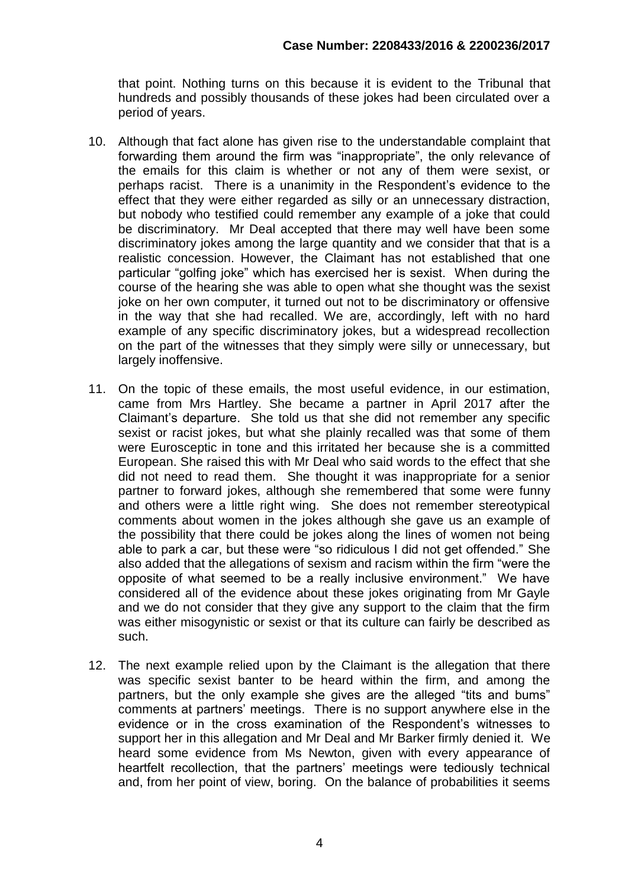that point. Nothing turns on this because it is evident to the Tribunal that hundreds and possibly thousands of these jokes had been circulated over a period of years.

- 10. Although that fact alone has given rise to the understandable complaint that forwarding them around the firm was "inappropriate", the only relevance of the emails for this claim is whether or not any of them were sexist, or perhaps racist. There is a unanimity in the Respondent's evidence to the effect that they were either regarded as silly or an unnecessary distraction, but nobody who testified could remember any example of a joke that could be discriminatory. Mr Deal accepted that there may well have been some discriminatory jokes among the large quantity and we consider that that is a realistic concession. However, the Claimant has not established that one particular "golfing joke" which has exercised her is sexist. When during the course of the hearing she was able to open what she thought was the sexist joke on her own computer, it turned out not to be discriminatory or offensive in the way that she had recalled. We are, accordingly, left with no hard example of any specific discriminatory jokes, but a widespread recollection on the part of the witnesses that they simply were silly or unnecessary, but largely inoffensive.
- 11. On the topic of these emails, the most useful evidence, in our estimation, came from Mrs Hartley. She became a partner in April 2017 after the Claimant's departure. She told us that she did not remember any specific sexist or racist jokes, but what she plainly recalled was that some of them were Eurosceptic in tone and this irritated her because she is a committed European. She raised this with Mr Deal who said words to the effect that she did not need to read them. She thought it was inappropriate for a senior partner to forward jokes, although she remembered that some were funny and others were a little right wing. She does not remember stereotypical comments about women in the jokes although she gave us an example of the possibility that there could be jokes along the lines of women not being able to park a car, but these were "so ridiculous I did not get offended." She also added that the allegations of sexism and racism within the firm "were the opposite of what seemed to be a really inclusive environment." We have considered all of the evidence about these jokes originating from Mr Gayle and we do not consider that they give any support to the claim that the firm was either misogynistic or sexist or that its culture can fairly be described as such.
- 12. The next example relied upon by the Claimant is the allegation that there was specific sexist banter to be heard within the firm, and among the partners, but the only example she gives are the alleged "tits and bums" comments at partners' meetings. There is no support anywhere else in the evidence or in the cross examination of the Respondent's witnesses to support her in this allegation and Mr Deal and Mr Barker firmly denied it. We heard some evidence from Ms Newton, given with every appearance of heartfelt recollection, that the partners' meetings were tediously technical and, from her point of view, boring. On the balance of probabilities it seems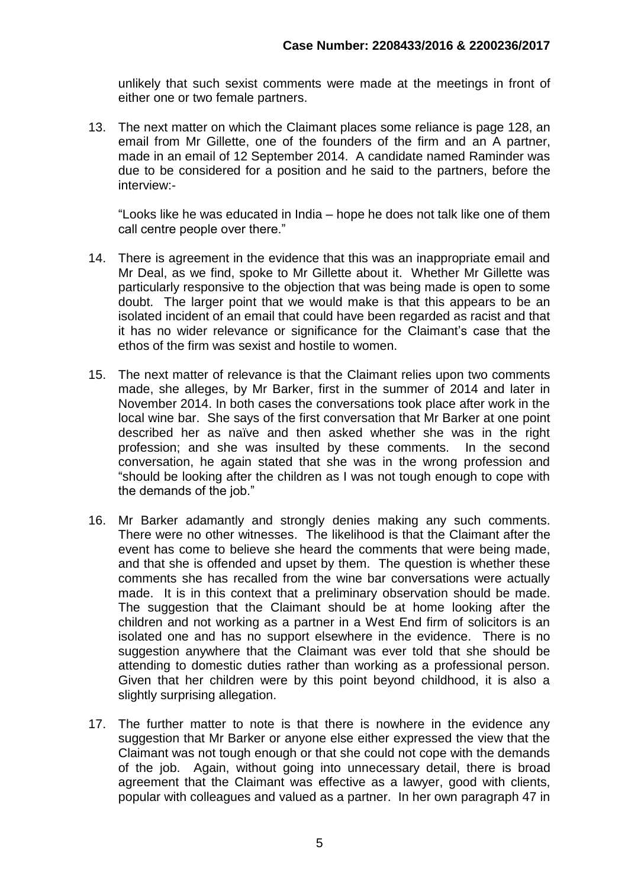unlikely that such sexist comments were made at the meetings in front of either one or two female partners.

13. The next matter on which the Claimant places some reliance is page 128, an email from Mr Gillette, one of the founders of the firm and an A partner, made in an email of 12 September 2014. A candidate named Raminder was due to be considered for a position and he said to the partners, before the interview:-

"Looks like he was educated in India – hope he does not talk like one of them call centre people over there."

- 14. There is agreement in the evidence that this was an inappropriate email and Mr Deal, as we find, spoke to Mr Gillette about it. Whether Mr Gillette was particularly responsive to the objection that was being made is open to some doubt. The larger point that we would make is that this appears to be an isolated incident of an email that could have been regarded as racist and that it has no wider relevance or significance for the Claimant's case that the ethos of the firm was sexist and hostile to women.
- 15. The next matter of relevance is that the Claimant relies upon two comments made, she alleges, by Mr Barker, first in the summer of 2014 and later in November 2014. In both cases the conversations took place after work in the local wine bar. She says of the first conversation that Mr Barker at one point described her as naïve and then asked whether she was in the right profession; and she was insulted by these comments. In the second conversation, he again stated that she was in the wrong profession and "should be looking after the children as I was not tough enough to cope with the demands of the job."
- 16. Mr Barker adamantly and strongly denies making any such comments. There were no other witnesses. The likelihood is that the Claimant after the event has come to believe she heard the comments that were being made, and that she is offended and upset by them. The question is whether these comments she has recalled from the wine bar conversations were actually made. It is in this context that a preliminary observation should be made. The suggestion that the Claimant should be at home looking after the children and not working as a partner in a West End firm of solicitors is an isolated one and has no support elsewhere in the evidence. There is no suggestion anywhere that the Claimant was ever told that she should be attending to domestic duties rather than working as a professional person. Given that her children were by this point beyond childhood, it is also a slightly surprising allegation.
- 17. The further matter to note is that there is nowhere in the evidence any suggestion that Mr Barker or anyone else either expressed the view that the Claimant was not tough enough or that she could not cope with the demands of the job. Again, without going into unnecessary detail, there is broad agreement that the Claimant was effective as a lawyer, good with clients, popular with colleagues and valued as a partner. In her own paragraph 47 in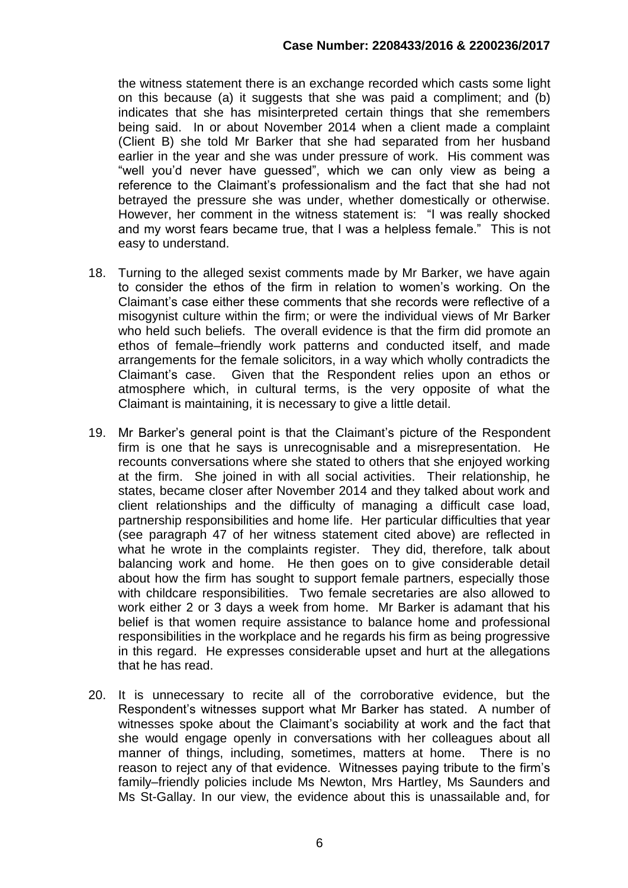the witness statement there is an exchange recorded which casts some light on this because (a) it suggests that she was paid a compliment; and (b) indicates that she has misinterpreted certain things that she remembers being said. In or about November 2014 when a client made a complaint (Client B) she told Mr Barker that she had separated from her husband earlier in the year and she was under pressure of work. His comment was "well you'd never have guessed", which we can only view as being a reference to the Claimant's professionalism and the fact that she had not betrayed the pressure she was under, whether domestically or otherwise. However, her comment in the witness statement is: "I was really shocked and my worst fears became true, that I was a helpless female." This is not easy to understand.

- 18. Turning to the alleged sexist comments made by Mr Barker, we have again to consider the ethos of the firm in relation to women's working. On the Claimant's case either these comments that she records were reflective of a misogynist culture within the firm; or were the individual views of Mr Barker who held such beliefs. The overall evidence is that the firm did promote an ethos of female–friendly work patterns and conducted itself, and made arrangements for the female solicitors, in a way which wholly contradicts the Claimant's case. Given that the Respondent relies upon an ethos or atmosphere which, in cultural terms, is the very opposite of what the Claimant is maintaining, it is necessary to give a little detail.
- 19. Mr Barker's general point is that the Claimant's picture of the Respondent firm is one that he says is unrecognisable and a misrepresentation. He recounts conversations where she stated to others that she enjoyed working at the firm. She joined in with all social activities. Their relationship, he states, became closer after November 2014 and they talked about work and client relationships and the difficulty of managing a difficult case load, partnership responsibilities and home life. Her particular difficulties that year (see paragraph 47 of her witness statement cited above) are reflected in what he wrote in the complaints register. They did, therefore, talk about balancing work and home. He then goes on to give considerable detail about how the firm has sought to support female partners, especially those with childcare responsibilities. Two female secretaries are also allowed to work either 2 or 3 days a week from home. Mr Barker is adamant that his belief is that women require assistance to balance home and professional responsibilities in the workplace and he regards his firm as being progressive in this regard. He expresses considerable upset and hurt at the allegations that he has read.
- 20. It is unnecessary to recite all of the corroborative evidence, but the Respondent's witnesses support what Mr Barker has stated. A number of witnesses spoke about the Claimant's sociability at work and the fact that she would engage openly in conversations with her colleagues about all manner of things, including, sometimes, matters at home. There is no reason to reject any of that evidence. Witnesses paying tribute to the firm's family–friendly policies include Ms Newton, Mrs Hartley, Ms Saunders and Ms St-Gallay. In our view, the evidence about this is unassailable and, for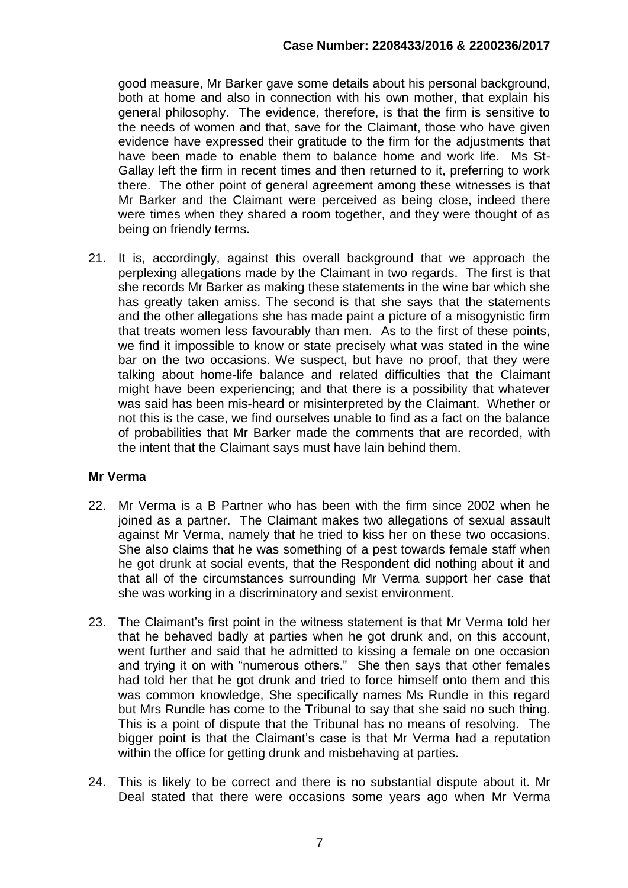good measure, Mr Barker gave some details about his personal background, both at home and also in connection with his own mother, that explain his general philosophy. The evidence, therefore, is that the firm is sensitive to the needs of women and that, save for the Claimant, those who have given evidence have expressed their gratitude to the firm for the adjustments that have been made to enable them to balance home and work life. Ms St-Gallay left the firm in recent times and then returned to it, preferring to work there. The other point of general agreement among these witnesses is that Mr Barker and the Claimant were perceived as being close, indeed there were times when they shared a room together, and they were thought of as being on friendly terms.

21. It is, accordingly, against this overall background that we approach the perplexing allegations made by the Claimant in two regards. The first is that she records Mr Barker as making these statements in the wine bar which she has greatly taken amiss. The second is that she says that the statements and the other allegations she has made paint a picture of a misogynistic firm that treats women less favourably than men. As to the first of these points, we find it impossible to know or state precisely what was stated in the wine bar on the two occasions. We suspect, but have no proof, that they were talking about home-life balance and related difficulties that the Claimant might have been experiencing; and that there is a possibility that whatever was said has been mis-heard or misinterpreted by the Claimant. Whether or not this is the case, we find ourselves unable to find as a fact on the balance of probabilities that Mr Barker made the comments that are recorded, with the intent that the Claimant says must have lain behind them.

# **Mr Verma**

- 22. Mr Verma is a B Partner who has been with the firm since 2002 when he joined as a partner. The Claimant makes two allegations of sexual assault against Mr Verma, namely that he tried to kiss her on these two occasions. She also claims that he was something of a pest towards female staff when he got drunk at social events, that the Respondent did nothing about it and that all of the circumstances surrounding Mr Verma support her case that she was working in a discriminatory and sexist environment.
- 23. The Claimant's first point in the witness statement is that Mr Verma told her that he behaved badly at parties when he got drunk and, on this account, went further and said that he admitted to kissing a female on one occasion and trying it on with "numerous others." She then says that other females had told her that he got drunk and tried to force himself onto them and this was common knowledge, She specifically names Ms Rundle in this regard but Mrs Rundle has come to the Tribunal to say that she said no such thing. This is a point of dispute that the Tribunal has no means of resolving. The bigger point is that the Claimant's case is that Mr Verma had a reputation within the office for getting drunk and misbehaving at parties.
- 24. This is likely to be correct and there is no substantial dispute about it. Mr Deal stated that there were occasions some years ago when Mr Verma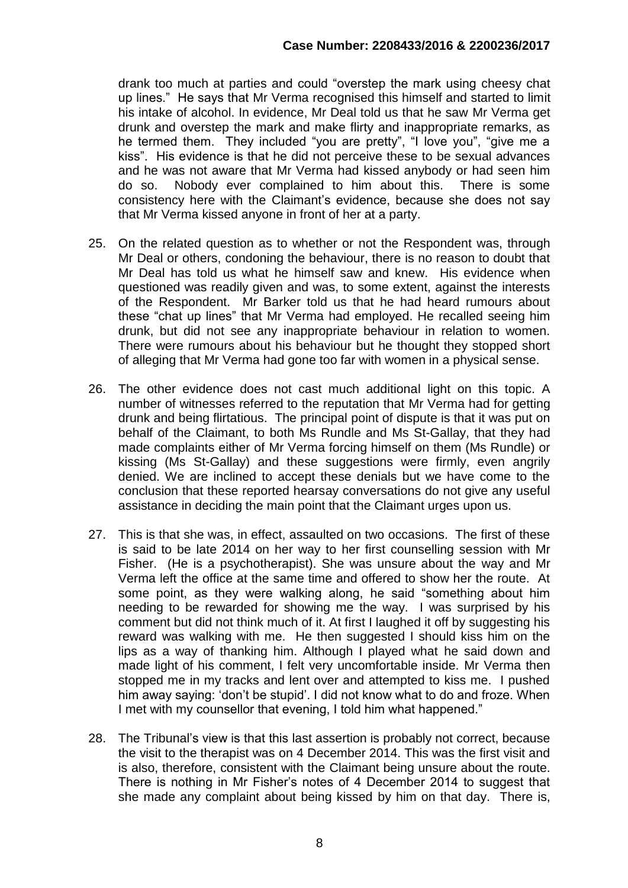drank too much at parties and could "overstep the mark using cheesy chat up lines." He says that Mr Verma recognised this himself and started to limit his intake of alcohol. In evidence, Mr Deal told us that he saw Mr Verma get drunk and overstep the mark and make flirty and inappropriate remarks, as he termed them. They included "you are pretty", "I love you", "give me a kiss". His evidence is that he did not perceive these to be sexual advances and he was not aware that Mr Verma had kissed anybody or had seen him do so. Nobody ever complained to him about this. There is some consistency here with the Claimant's evidence, because she does not say that Mr Verma kissed anyone in front of her at a party.

- 25. On the related question as to whether or not the Respondent was, through Mr Deal or others, condoning the behaviour, there is no reason to doubt that Mr Deal has told us what he himself saw and knew. His evidence when questioned was readily given and was, to some extent, against the interests of the Respondent. Mr Barker told us that he had heard rumours about these "chat up lines" that Mr Verma had employed. He recalled seeing him drunk, but did not see any inappropriate behaviour in relation to women. There were rumours about his behaviour but he thought they stopped short of alleging that Mr Verma had gone too far with women in a physical sense.
- 26. The other evidence does not cast much additional light on this topic. A number of witnesses referred to the reputation that Mr Verma had for getting drunk and being flirtatious. The principal point of dispute is that it was put on behalf of the Claimant, to both Ms Rundle and Ms St-Gallay, that they had made complaints either of Mr Verma forcing himself on them (Ms Rundle) or kissing (Ms St-Gallay) and these suggestions were firmly, even angrily denied. We are inclined to accept these denials but we have come to the conclusion that these reported hearsay conversations do not give any useful assistance in deciding the main point that the Claimant urges upon us.
- 27. This is that she was, in effect, assaulted on two occasions. The first of these is said to be late 2014 on her way to her first counselling session with Mr Fisher. (He is a psychotherapist). She was unsure about the way and Mr Verma left the office at the same time and offered to show her the route. At some point, as they were walking along, he said "something about him needing to be rewarded for showing me the way. I was surprised by his comment but did not think much of it. At first I laughed it off by suggesting his reward was walking with me. He then suggested I should kiss him on the lips as a way of thanking him. Although I played what he said down and made light of his comment, I felt very uncomfortable inside. Mr Verma then stopped me in my tracks and lent over and attempted to kiss me. I pushed him away saying: 'don't be stupid'. I did not know what to do and froze. When I met with my counsellor that evening, I told him what happened."
- 28. The Tribunal's view is that this last assertion is probably not correct, because the visit to the therapist was on 4 December 2014. This was the first visit and is also, therefore, consistent with the Claimant being unsure about the route. There is nothing in Mr Fisher's notes of 4 December 2014 to suggest that she made any complaint about being kissed by him on that day. There is,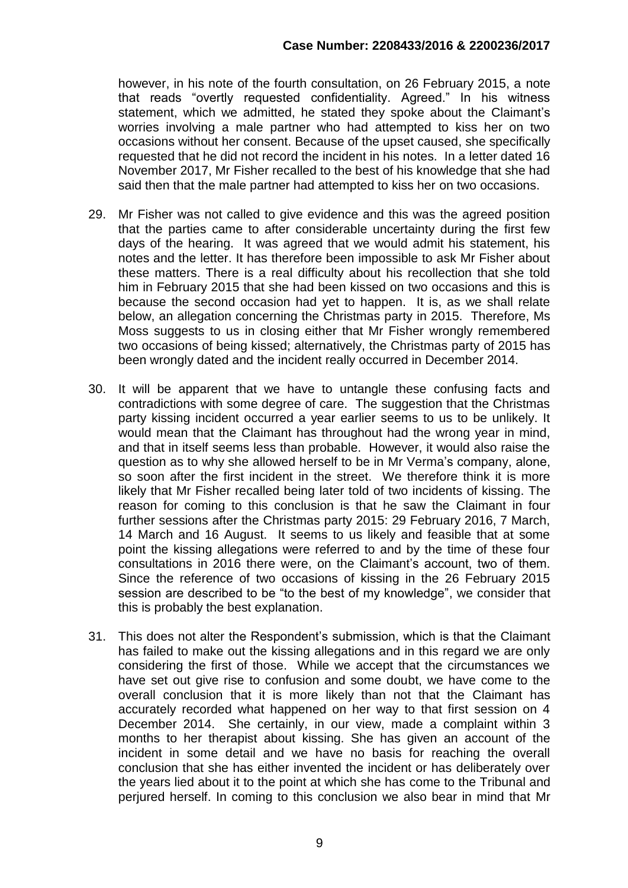however, in his note of the fourth consultation, on 26 February 2015, a note that reads "overtly requested confidentiality. Agreed." In his witness statement, which we admitted, he stated they spoke about the Claimant's worries involving a male partner who had attempted to kiss her on two occasions without her consent. Because of the upset caused, she specifically requested that he did not record the incident in his notes. In a letter dated 16 November 2017, Mr Fisher recalled to the best of his knowledge that she had said then that the male partner had attempted to kiss her on two occasions.

- 29. Mr Fisher was not called to give evidence and this was the agreed position that the parties came to after considerable uncertainty during the first few days of the hearing. It was agreed that we would admit his statement, his notes and the letter. It has therefore been impossible to ask Mr Fisher about these matters. There is a real difficulty about his recollection that she told him in February 2015 that she had been kissed on two occasions and this is because the second occasion had yet to happen. It is, as we shall relate below, an allegation concerning the Christmas party in 2015. Therefore, Ms Moss suggests to us in closing either that Mr Fisher wrongly remembered two occasions of being kissed; alternatively, the Christmas party of 2015 has been wrongly dated and the incident really occurred in December 2014.
- 30. It will be apparent that we have to untangle these confusing facts and contradictions with some degree of care. The suggestion that the Christmas party kissing incident occurred a year earlier seems to us to be unlikely. It would mean that the Claimant has throughout had the wrong year in mind, and that in itself seems less than probable. However, it would also raise the question as to why she allowed herself to be in Mr Verma's company, alone, so soon after the first incident in the street. We therefore think it is more likely that Mr Fisher recalled being later told of two incidents of kissing. The reason for coming to this conclusion is that he saw the Claimant in four further sessions after the Christmas party 2015: 29 February 2016, 7 March, 14 March and 16 August. It seems to us likely and feasible that at some point the kissing allegations were referred to and by the time of these four consultations in 2016 there were, on the Claimant's account, two of them. Since the reference of two occasions of kissing in the 26 February 2015 session are described to be "to the best of my knowledge", we consider that this is probably the best explanation.
- 31. This does not alter the Respondent's submission, which is that the Claimant has failed to make out the kissing allegations and in this regard we are only considering the first of those. While we accept that the circumstances we have set out give rise to confusion and some doubt, we have come to the overall conclusion that it is more likely than not that the Claimant has accurately recorded what happened on her way to that first session on 4 December 2014. She certainly, in our view, made a complaint within 3 months to her therapist about kissing. She has given an account of the incident in some detail and we have no basis for reaching the overall conclusion that she has either invented the incident or has deliberately over the years lied about it to the point at which she has come to the Tribunal and perjured herself. In coming to this conclusion we also bear in mind that Mr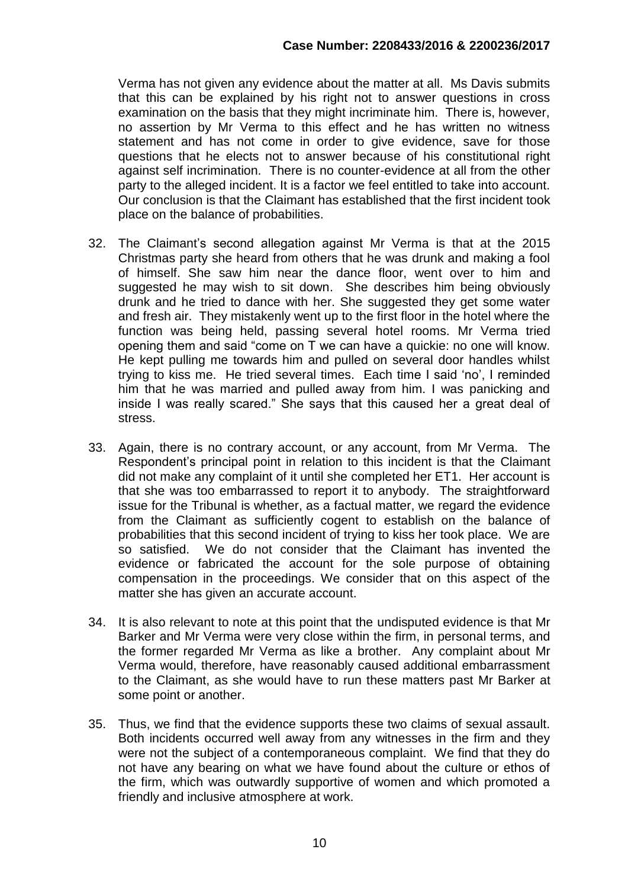Verma has not given any evidence about the matter at all. Ms Davis submits that this can be explained by his right not to answer questions in cross examination on the basis that they might incriminate him. There is, however, no assertion by Mr Verma to this effect and he has written no witness statement and has not come in order to give evidence, save for those questions that he elects not to answer because of his constitutional right against self incrimination. There is no counter-evidence at all from the other party to the alleged incident. It is a factor we feel entitled to take into account. Our conclusion is that the Claimant has established that the first incident took place on the balance of probabilities.

- 32. The Claimant's second allegation against Mr Verma is that at the 2015 Christmas party she heard from others that he was drunk and making a fool of himself. She saw him near the dance floor, went over to him and suggested he may wish to sit down. She describes him being obviously drunk and he tried to dance with her. She suggested they get some water and fresh air. They mistakenly went up to the first floor in the hotel where the function was being held, passing several hotel rooms. Mr Verma tried opening them and said "come on T we can have a quickie: no one will know. He kept pulling me towards him and pulled on several door handles whilst trying to kiss me. He tried several times. Each time I said 'no', I reminded him that he was married and pulled away from him. I was panicking and inside I was really scared." She says that this caused her a great deal of stress.
- 33. Again, there is no contrary account, or any account, from Mr Verma. The Respondent's principal point in relation to this incident is that the Claimant did not make any complaint of it until she completed her ET1. Her account is that she was too embarrassed to report it to anybody. The straightforward issue for the Tribunal is whether, as a factual matter, we regard the evidence from the Claimant as sufficiently cogent to establish on the balance of probabilities that this second incident of trying to kiss her took place. We are so satisfied. We do not consider that the Claimant has invented the evidence or fabricated the account for the sole purpose of obtaining compensation in the proceedings. We consider that on this aspect of the matter she has given an accurate account.
- 34. It is also relevant to note at this point that the undisputed evidence is that Mr Barker and Mr Verma were very close within the firm, in personal terms, and the former regarded Mr Verma as like a brother. Any complaint about Mr Verma would, therefore, have reasonably caused additional embarrassment to the Claimant, as she would have to run these matters past Mr Barker at some point or another.
- 35. Thus, we find that the evidence supports these two claims of sexual assault. Both incidents occurred well away from any witnesses in the firm and they were not the subject of a contemporaneous complaint. We find that they do not have any bearing on what we have found about the culture or ethos of the firm, which was outwardly supportive of women and which promoted a friendly and inclusive atmosphere at work.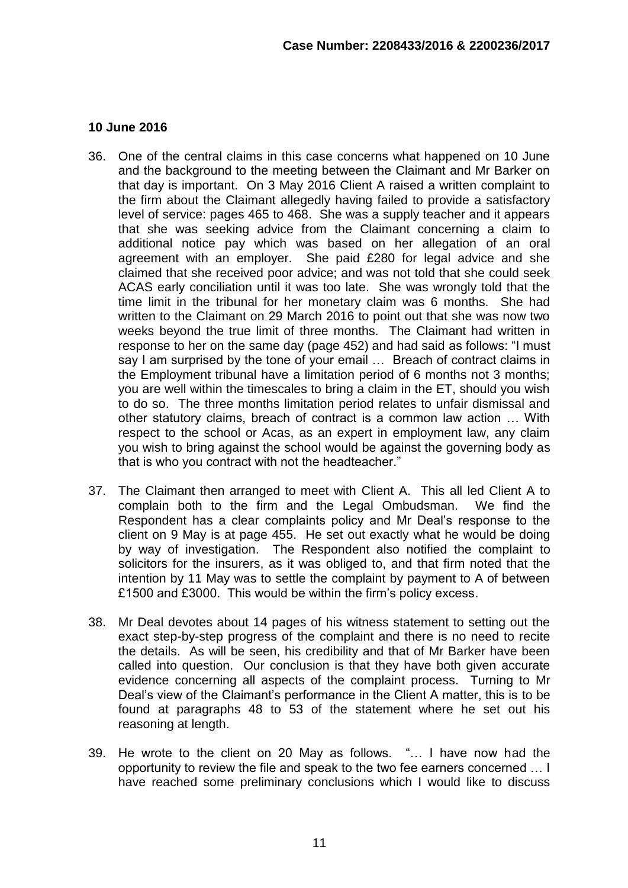#### **10 June 2016**

- 36. One of the central claims in this case concerns what happened on 10 June and the background to the meeting between the Claimant and Mr Barker on that day is important. On 3 May 2016 Client A raised a written complaint to the firm about the Claimant allegedly having failed to provide a satisfactory level of service: pages 465 to 468. She was a supply teacher and it appears that she was seeking advice from the Claimant concerning a claim to additional notice pay which was based on her allegation of an oral agreement with an employer. She paid £280 for legal advice and she claimed that she received poor advice; and was not told that she could seek ACAS early conciliation until it was too late. She was wrongly told that the time limit in the tribunal for her monetary claim was 6 months. She had written to the Claimant on 29 March 2016 to point out that she was now two weeks beyond the true limit of three months. The Claimant had written in response to her on the same day (page 452) and had said as follows: "I must say I am surprised by the tone of your email … Breach of contract claims in the Employment tribunal have a limitation period of 6 months not 3 months; you are well within the timescales to bring a claim in the ET, should you wish to do so. The three months limitation period relates to unfair dismissal and other statutory claims, breach of contract is a common law action … With respect to the school or Acas, as an expert in employment law, any claim you wish to bring against the school would be against the governing body as that is who you contract with not the headteacher."
- 37. The Claimant then arranged to meet with Client A. This all led Client A to complain both to the firm and the Legal Ombudsman. We find the Respondent has a clear complaints policy and Mr Deal's response to the client on 9 May is at page 455. He set out exactly what he would be doing by way of investigation. The Respondent also notified the complaint to solicitors for the insurers, as it was obliged to, and that firm noted that the intention by 11 May was to settle the complaint by payment to A of between £1500 and £3000. This would be within the firm's policy excess.
- 38. Mr Deal devotes about 14 pages of his witness statement to setting out the exact step-by-step progress of the complaint and there is no need to recite the details. As will be seen, his credibility and that of Mr Barker have been called into question. Our conclusion is that they have both given accurate evidence concerning all aspects of the complaint process. Turning to Mr Deal's view of the Claimant's performance in the Client A matter, this is to be found at paragraphs 48 to 53 of the statement where he set out his reasoning at length.
- 39. He wrote to the client on 20 May as follows. "… I have now had the opportunity to review the file and speak to the two fee earners concerned … I have reached some preliminary conclusions which I would like to discuss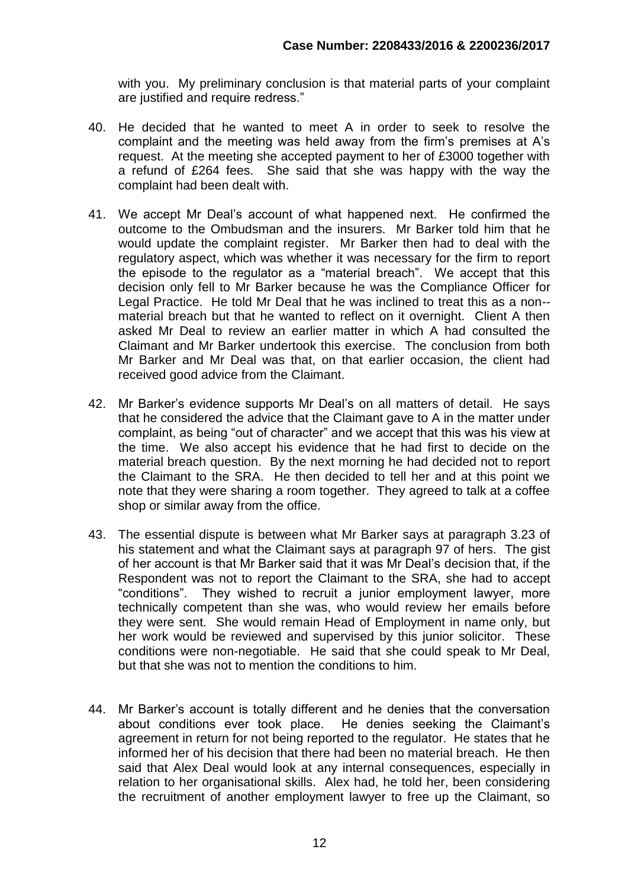with you. My preliminary conclusion is that material parts of your complaint are justified and require redress."

- 40. He decided that he wanted to meet A in order to seek to resolve the complaint and the meeting was held away from the firm's premises at A's request. At the meeting she accepted payment to her of £3000 together with a refund of £264 fees. She said that she was happy with the way the complaint had been dealt with.
- 41. We accept Mr Deal's account of what happened next. He confirmed the outcome to the Ombudsman and the insurers. Mr Barker told him that he would update the complaint register. Mr Barker then had to deal with the regulatory aspect, which was whether it was necessary for the firm to report the episode to the regulator as a "material breach". We accept that this decision only fell to Mr Barker because he was the Compliance Officer for Legal Practice. He told Mr Deal that he was inclined to treat this as a non- material breach but that he wanted to reflect on it overnight. Client A then asked Mr Deal to review an earlier matter in which A had consulted the Claimant and Mr Barker undertook this exercise. The conclusion from both Mr Barker and Mr Deal was that, on that earlier occasion, the client had received good advice from the Claimant.
- 42. Mr Barker's evidence supports Mr Deal's on all matters of detail. He says that he considered the advice that the Claimant gave to A in the matter under complaint, as being "out of character" and we accept that this was his view at the time. We also accept his evidence that he had first to decide on the material breach question. By the next morning he had decided not to report the Claimant to the SRA. He then decided to tell her and at this point we note that they were sharing a room together. They agreed to talk at a coffee shop or similar away from the office.
- 43. The essential dispute is between what Mr Barker says at paragraph 3.23 of his statement and what the Claimant says at paragraph 97 of hers. The gist of her account is that Mr Barker said that it was Mr Deal's decision that, if the Respondent was not to report the Claimant to the SRA, she had to accept "conditions". They wished to recruit a junior employment lawyer, more technically competent than she was, who would review her emails before they were sent. She would remain Head of Employment in name only, but her work would be reviewed and supervised by this junior solicitor. These conditions were non-negotiable. He said that she could speak to Mr Deal, but that she was not to mention the conditions to him.
- 44. Mr Barker's account is totally different and he denies that the conversation about conditions ever took place. He denies seeking the Claimant's agreement in return for not being reported to the regulator. He states that he informed her of his decision that there had been no material breach. He then said that Alex Deal would look at any internal consequences, especially in relation to her organisational skills. Alex had, he told her, been considering the recruitment of another employment lawyer to free up the Claimant, so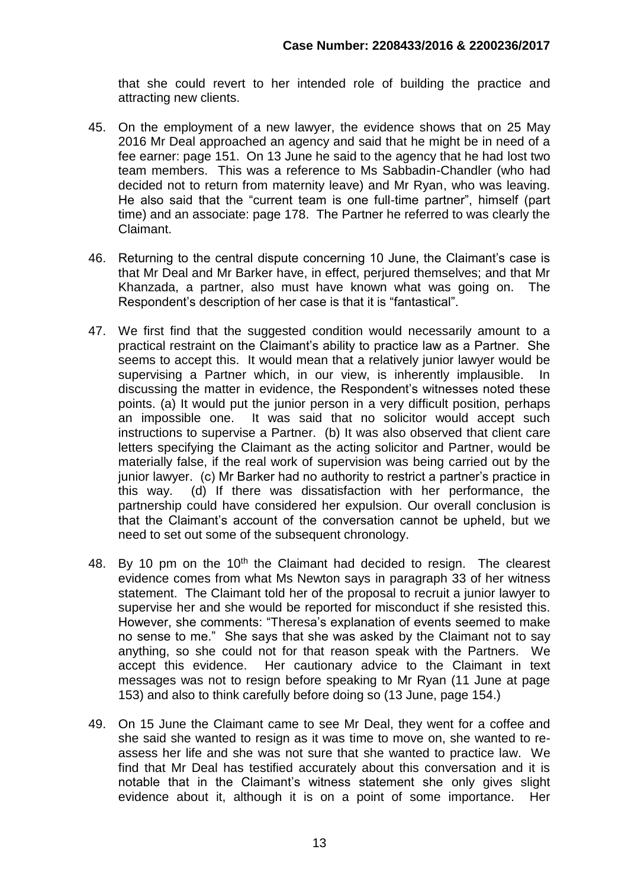that she could revert to her intended role of building the practice and attracting new clients.

- 45. On the employment of a new lawyer, the evidence shows that on 25 May 2016 Mr Deal approached an agency and said that he might be in need of a fee earner: page 151. On 13 June he said to the agency that he had lost two team members. This was a reference to Ms Sabbadin-Chandler (who had decided not to return from maternity leave) and Mr Ryan, who was leaving. He also said that the "current team is one full-time partner", himself (part time) and an associate: page 178. The Partner he referred to was clearly the Claimant.
- 46. Returning to the central dispute concerning 10 June, the Claimant's case is that Mr Deal and Mr Barker have, in effect, perjured themselves; and that Mr Khanzada, a partner, also must have known what was going on. The Respondent's description of her case is that it is "fantastical".
- 47. We first find that the suggested condition would necessarily amount to a practical restraint on the Claimant's ability to practice law as a Partner. She seems to accept this. It would mean that a relatively junior lawyer would be supervising a Partner which, in our view, is inherently implausible. In discussing the matter in evidence, the Respondent's witnesses noted these points. (a) It would put the junior person in a very difficult position, perhaps an impossible one. It was said that no solicitor would accept such instructions to supervise a Partner. (b) It was also observed that client care letters specifying the Claimant as the acting solicitor and Partner, would be materially false, if the real work of supervision was being carried out by the junior lawyer. (c) Mr Barker had no authority to restrict a partner's practice in this way. (d) If there was dissatisfaction with her performance, the partnership could have considered her expulsion. Our overall conclusion is that the Claimant's account of the conversation cannot be upheld, but we need to set out some of the subsequent chronology.
- 48. By 10 pm on the 10<sup>th</sup> the Claimant had decided to resign. The clearest evidence comes from what Ms Newton says in paragraph 33 of her witness statement. The Claimant told her of the proposal to recruit a junior lawyer to supervise her and she would be reported for misconduct if she resisted this. However, she comments: "Theresa's explanation of events seemed to make no sense to me." She says that she was asked by the Claimant not to say anything, so she could not for that reason speak with the Partners. We accept this evidence. Her cautionary advice to the Claimant in text messages was not to resign before speaking to Mr Ryan (11 June at page 153) and also to think carefully before doing so (13 June, page 154.)
- 49. On 15 June the Claimant came to see Mr Deal, they went for a coffee and she said she wanted to resign as it was time to move on, she wanted to reassess her life and she was not sure that she wanted to practice law. We find that Mr Deal has testified accurately about this conversation and it is notable that in the Claimant's witness statement she only gives slight evidence about it, although it is on a point of some importance. Her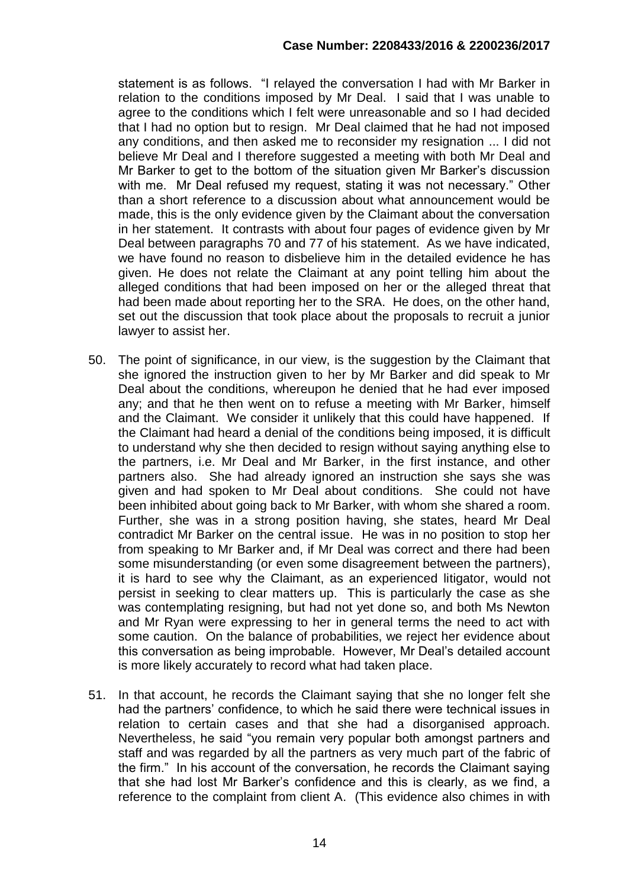statement is as follows. "I relayed the conversation I had with Mr Barker in relation to the conditions imposed by Mr Deal. I said that I was unable to agree to the conditions which I felt were unreasonable and so I had decided that I had no option but to resign. Mr Deal claimed that he had not imposed any conditions, and then asked me to reconsider my resignation ... I did not believe Mr Deal and I therefore suggested a meeting with both Mr Deal and Mr Barker to get to the bottom of the situation given Mr Barker's discussion with me. Mr Deal refused my request, stating it was not necessary." Other than a short reference to a discussion about what announcement would be made, this is the only evidence given by the Claimant about the conversation in her statement. It contrasts with about four pages of evidence given by Mr Deal between paragraphs 70 and 77 of his statement. As we have indicated, we have found no reason to disbelieve him in the detailed evidence he has given. He does not relate the Claimant at any point telling him about the alleged conditions that had been imposed on her or the alleged threat that had been made about reporting her to the SRA. He does, on the other hand, set out the discussion that took place about the proposals to recruit a junior lawyer to assist her.

- 50. The point of significance, in our view, is the suggestion by the Claimant that she ignored the instruction given to her by Mr Barker and did speak to Mr Deal about the conditions, whereupon he denied that he had ever imposed any; and that he then went on to refuse a meeting with Mr Barker, himself and the Claimant. We consider it unlikely that this could have happened. If the Claimant had heard a denial of the conditions being imposed, it is difficult to understand why she then decided to resign without saying anything else to the partners, i.e. Mr Deal and Mr Barker, in the first instance, and other partners also. She had already ignored an instruction she says she was given and had spoken to Mr Deal about conditions. She could not have been inhibited about going back to Mr Barker, with whom she shared a room. Further, she was in a strong position having, she states, heard Mr Deal contradict Mr Barker on the central issue. He was in no position to stop her from speaking to Mr Barker and, if Mr Deal was correct and there had been some misunderstanding (or even some disagreement between the partners), it is hard to see why the Claimant, as an experienced litigator, would not persist in seeking to clear matters up. This is particularly the case as she was contemplating resigning, but had not yet done so, and both Ms Newton and Mr Ryan were expressing to her in general terms the need to act with some caution. On the balance of probabilities, we reject her evidence about this conversation as being improbable. However, Mr Deal's detailed account is more likely accurately to record what had taken place.
- 51. In that account, he records the Claimant saying that she no longer felt she had the partners' confidence, to which he said there were technical issues in relation to certain cases and that she had a disorganised approach. Nevertheless, he said "you remain very popular both amongst partners and staff and was regarded by all the partners as very much part of the fabric of the firm." In his account of the conversation, he records the Claimant saying that she had lost Mr Barker's confidence and this is clearly, as we find, a reference to the complaint from client A. (This evidence also chimes in with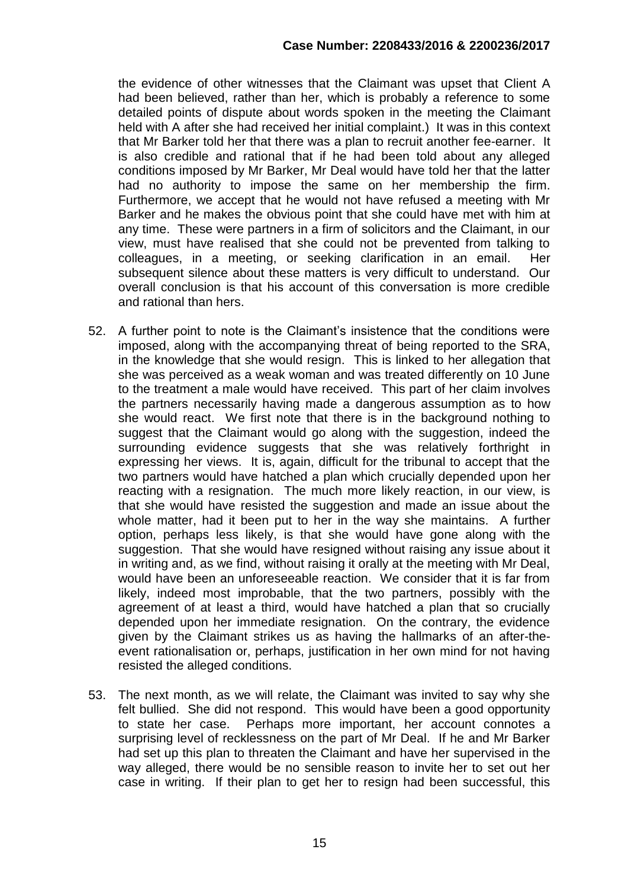the evidence of other witnesses that the Claimant was upset that Client A had been believed, rather than her, which is probably a reference to some detailed points of dispute about words spoken in the meeting the Claimant held with A after she had received her initial complaint.) It was in this context that Mr Barker told her that there was a plan to recruit another fee-earner. It is also credible and rational that if he had been told about any alleged conditions imposed by Mr Barker, Mr Deal would have told her that the latter had no authority to impose the same on her membership the firm. Furthermore, we accept that he would not have refused a meeting with Mr Barker and he makes the obvious point that she could have met with him at any time. These were partners in a firm of solicitors and the Claimant, in our view, must have realised that she could not be prevented from talking to colleagues, in a meeting, or seeking clarification in an email. Her subsequent silence about these matters is very difficult to understand. Our overall conclusion is that his account of this conversation is more credible and rational than hers.

- 52. A further point to note is the Claimant's insistence that the conditions were imposed, along with the accompanying threat of being reported to the SRA, in the knowledge that she would resign. This is linked to her allegation that she was perceived as a weak woman and was treated differently on 10 June to the treatment a male would have received. This part of her claim involves the partners necessarily having made a dangerous assumption as to how she would react. We first note that there is in the background nothing to suggest that the Claimant would go along with the suggestion, indeed the surrounding evidence suggests that she was relatively forthright in expressing her views. It is, again, difficult for the tribunal to accept that the two partners would have hatched a plan which crucially depended upon her reacting with a resignation. The much more likely reaction, in our view, is that she would have resisted the suggestion and made an issue about the whole matter, had it been put to her in the way she maintains. A further option, perhaps less likely, is that she would have gone along with the suggestion. That she would have resigned without raising any issue about it in writing and, as we find, without raising it orally at the meeting with Mr Deal, would have been an unforeseeable reaction. We consider that it is far from likely, indeed most improbable, that the two partners, possibly with the agreement of at least a third, would have hatched a plan that so crucially depended upon her immediate resignation. On the contrary, the evidence given by the Claimant strikes us as having the hallmarks of an after-theevent rationalisation or, perhaps, justification in her own mind for not having resisted the alleged conditions.
- 53. The next month, as we will relate, the Claimant was invited to say why she felt bullied. She did not respond. This would have been a good opportunity to state her case. Perhaps more important, her account connotes a surprising level of recklessness on the part of Mr Deal. If he and Mr Barker had set up this plan to threaten the Claimant and have her supervised in the way alleged, there would be no sensible reason to invite her to set out her case in writing. If their plan to get her to resign had been successful, this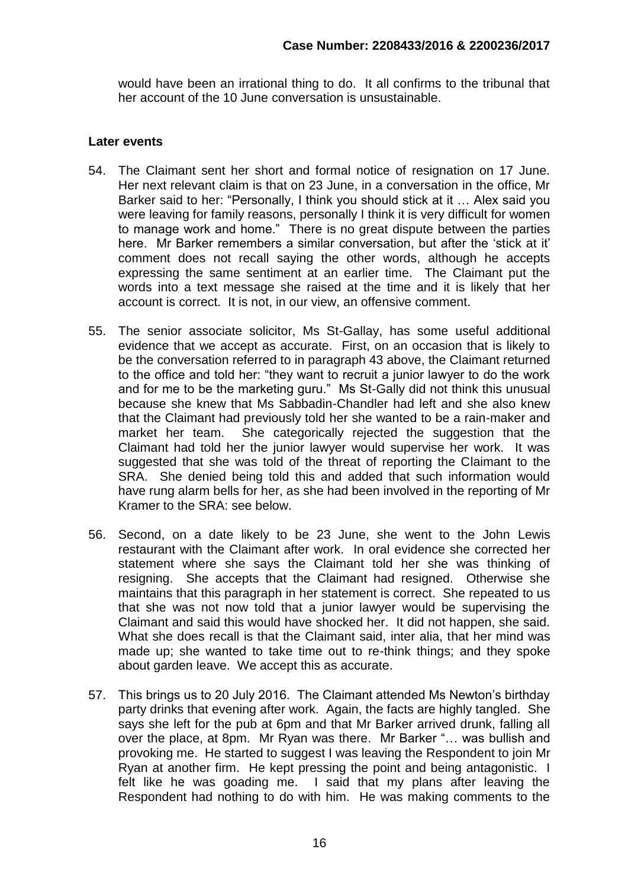would have been an irrational thing to do. It all confirms to the tribunal that her account of the 10 June conversation is unsustainable.

#### **Later events**

- 54. The Claimant sent her short and formal notice of resignation on 17 June. Her next relevant claim is that on 23 June, in a conversation in the office, Mr Barker said to her: "Personally, I think you should stick at it … Alex said you were leaving for family reasons, personally I think it is very difficult for women to manage work and home." There is no great dispute between the parties here. Mr Barker remembers a similar conversation, but after the 'stick at it' comment does not recall saying the other words, although he accepts expressing the same sentiment at an earlier time. The Claimant put the words into a text message she raised at the time and it is likely that her account is correct. It is not, in our view, an offensive comment.
- 55. The senior associate solicitor, Ms St-Gallay, has some useful additional evidence that we accept as accurate. First, on an occasion that is likely to be the conversation referred to in paragraph 43 above, the Claimant returned to the office and told her: "they want to recruit a junior lawyer to do the work and for me to be the marketing guru." Ms St-Gally did not think this unusual because she knew that Ms Sabbadin-Chandler had left and she also knew that the Claimant had previously told her she wanted to be a rain-maker and market her team. She categorically rejected the suggestion that the Claimant had told her the junior lawyer would supervise her work. It was suggested that she was told of the threat of reporting the Claimant to the SRA. She denied being told this and added that such information would have rung alarm bells for her, as she had been involved in the reporting of Mr Kramer to the SRA: see below.
- 56. Second, on a date likely to be 23 June, she went to the John Lewis restaurant with the Claimant after work. In oral evidence she corrected her statement where she says the Claimant told her she was thinking of resigning. She accepts that the Claimant had resigned. Otherwise she maintains that this paragraph in her statement is correct. She repeated to us that she was not now told that a junior lawyer would be supervising the Claimant and said this would have shocked her. It did not happen, she said. What she does recall is that the Claimant said, inter alia, that her mind was made up; she wanted to take time out to re-think things; and they spoke about garden leave. We accept this as accurate.
- 57. This brings us to 20 July 2016. The Claimant attended Ms Newton's birthday party drinks that evening after work. Again, the facts are highly tangled. She says she left for the pub at 6pm and that Mr Barker arrived drunk, falling all over the place, at 8pm. Mr Ryan was there. Mr Barker "… was bullish and provoking me. He started to suggest I was leaving the Respondent to join Mr Ryan at another firm. He kept pressing the point and being antagonistic. I felt like he was goading me. I said that my plans after leaving the Respondent had nothing to do with him. He was making comments to the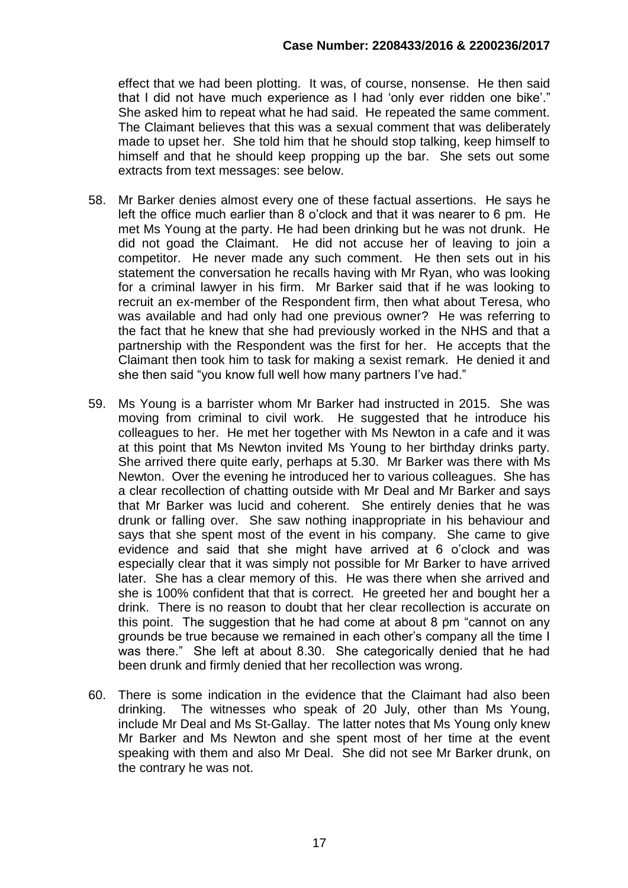effect that we had been plotting. It was, of course, nonsense. He then said that I did not have much experience as I had 'only ever ridden one bike'." She asked him to repeat what he had said. He repeated the same comment. The Claimant believes that this was a sexual comment that was deliberately made to upset her. She told him that he should stop talking, keep himself to himself and that he should keep propping up the bar. She sets out some extracts from text messages: see below.

- 58. Mr Barker denies almost every one of these factual assertions. He says he left the office much earlier than 8 o'clock and that it was nearer to 6 pm. He met Ms Young at the party. He had been drinking but he was not drunk. He did not goad the Claimant. He did not accuse her of leaving to join a competitor. He never made any such comment. He then sets out in his statement the conversation he recalls having with Mr Ryan, who was looking for a criminal lawyer in his firm. Mr Barker said that if he was looking to recruit an ex-member of the Respondent firm, then what about Teresa, who was available and had only had one previous owner? He was referring to the fact that he knew that she had previously worked in the NHS and that a partnership with the Respondent was the first for her. He accepts that the Claimant then took him to task for making a sexist remark. He denied it and she then said "you know full well how many partners I've had."
- 59. Ms Young is a barrister whom Mr Barker had instructed in 2015. She was moving from criminal to civil work. He suggested that he introduce his colleagues to her. He met her together with Ms Newton in a cafe and it was at this point that Ms Newton invited Ms Young to her birthday drinks party. She arrived there quite early, perhaps at 5.30. Mr Barker was there with Ms Newton. Over the evening he introduced her to various colleagues. She has a clear recollection of chatting outside with Mr Deal and Mr Barker and says that Mr Barker was lucid and coherent. She entirely denies that he was drunk or falling over. She saw nothing inappropriate in his behaviour and says that she spent most of the event in his company. She came to give evidence and said that she might have arrived at 6 o'clock and was especially clear that it was simply not possible for Mr Barker to have arrived later. She has a clear memory of this. He was there when she arrived and she is 100% confident that that is correct. He greeted her and bought her a drink. There is no reason to doubt that her clear recollection is accurate on this point. The suggestion that he had come at about 8 pm "cannot on any grounds be true because we remained in each other's company all the time I was there." She left at about 8.30. She categorically denied that he had been drunk and firmly denied that her recollection was wrong.
- 60. There is some indication in the evidence that the Claimant had also been drinking. The witnesses who speak of 20 July, other than Ms Young, include Mr Deal and Ms St-Gallay. The latter notes that Ms Young only knew Mr Barker and Ms Newton and she spent most of her time at the event speaking with them and also Mr Deal. She did not see Mr Barker drunk, on the contrary he was not.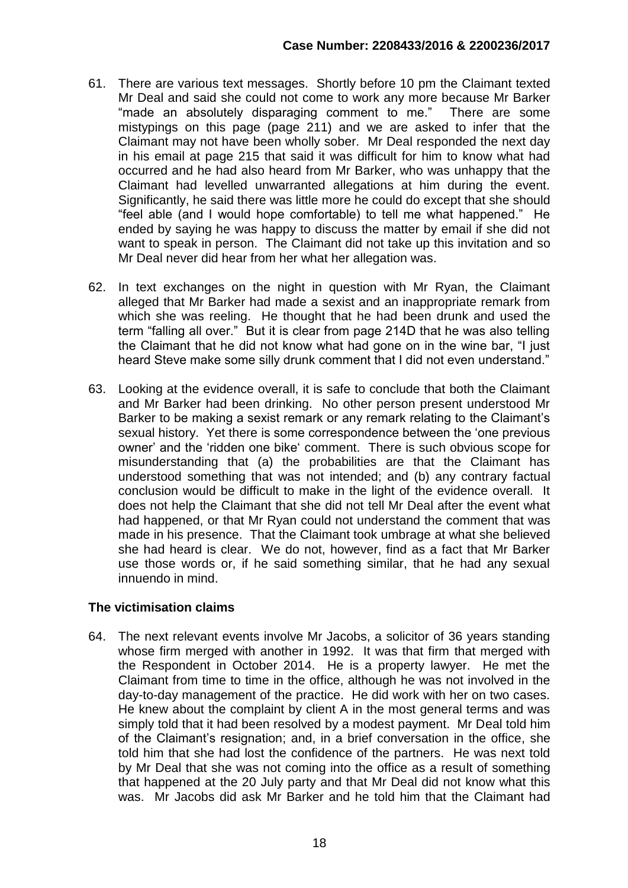- 61. There are various text messages. Shortly before 10 pm the Claimant texted Mr Deal and said she could not come to work any more because Mr Barker "made an absolutely disparaging comment to me." There are some mistypings on this page (page 211) and we are asked to infer that the Claimant may not have been wholly sober. Mr Deal responded the next day in his email at page 215 that said it was difficult for him to know what had occurred and he had also heard from Mr Barker, who was unhappy that the Claimant had levelled unwarranted allegations at him during the event. Significantly, he said there was little more he could do except that she should "feel able (and I would hope comfortable) to tell me what happened." He ended by saying he was happy to discuss the matter by email if she did not want to speak in person. The Claimant did not take up this invitation and so Mr Deal never did hear from her what her allegation was.
- 62. In text exchanges on the night in question with Mr Ryan, the Claimant alleged that Mr Barker had made a sexist and an inappropriate remark from which she was reeling. He thought that he had been drunk and used the term "falling all over." But it is clear from page 214D that he was also telling the Claimant that he did not know what had gone on in the wine bar, "I just heard Steve make some silly drunk comment that I did not even understand."
- 63. Looking at the evidence overall, it is safe to conclude that both the Claimant and Mr Barker had been drinking. No other person present understood Mr Barker to be making a sexist remark or any remark relating to the Claimant's sexual history. Yet there is some correspondence between the 'one previous owner' and the 'ridden one bike' comment. There is such obvious scope for misunderstanding that (a) the probabilities are that the Claimant has understood something that was not intended; and (b) any contrary factual conclusion would be difficult to make in the light of the evidence overall. It does not help the Claimant that she did not tell Mr Deal after the event what had happened, or that Mr Ryan could not understand the comment that was made in his presence. That the Claimant took umbrage at what she believed she had heard is clear. We do not, however, find as a fact that Mr Barker use those words or, if he said something similar, that he had any sexual innuendo in mind.

# **The victimisation claims**

64. The next relevant events involve Mr Jacobs, a solicitor of 36 years standing whose firm merged with another in 1992. It was that firm that merged with the Respondent in October 2014. He is a property lawyer. He met the Claimant from time to time in the office, although he was not involved in the day-to-day management of the practice. He did work with her on two cases. He knew about the complaint by client A in the most general terms and was simply told that it had been resolved by a modest payment. Mr Deal told him of the Claimant's resignation; and, in a brief conversation in the office, she told him that she had lost the confidence of the partners. He was next told by Mr Deal that she was not coming into the office as a result of something that happened at the 20 July party and that Mr Deal did not know what this was. Mr Jacobs did ask Mr Barker and he told him that the Claimant had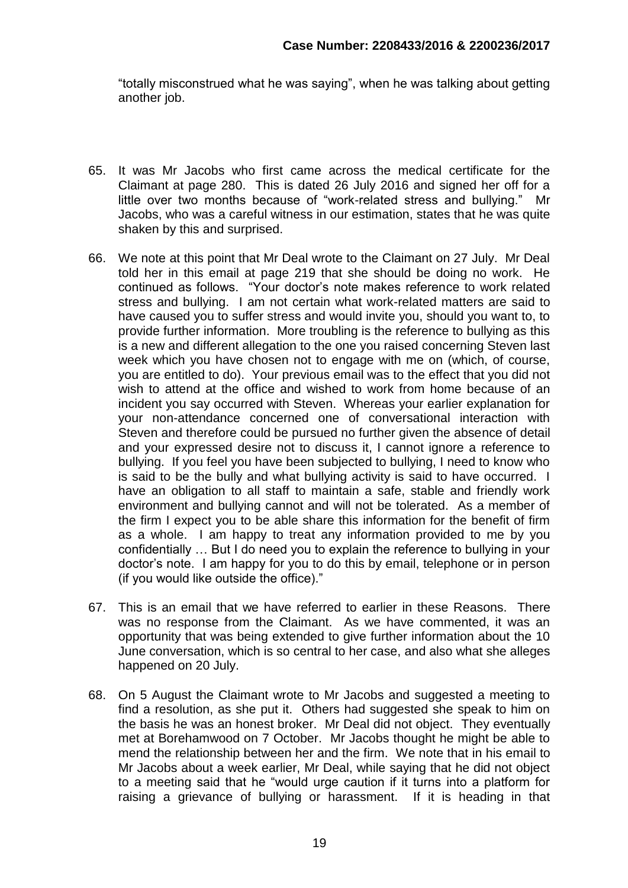"totally misconstrued what he was saying", when he was talking about getting another job.

- 65. It was Mr Jacobs who first came across the medical certificate for the Claimant at page 280. This is dated 26 July 2016 and signed her off for a little over two months because of "work-related stress and bullying." Mr Jacobs, who was a careful witness in our estimation, states that he was quite shaken by this and surprised.
- 66. We note at this point that Mr Deal wrote to the Claimant on 27 July. Mr Deal told her in this email at page 219 that she should be doing no work. He continued as follows. "Your doctor's note makes reference to work related stress and bullying. I am not certain what work-related matters are said to have caused you to suffer stress and would invite you, should you want to, to provide further information. More troubling is the reference to bullying as this is a new and different allegation to the one you raised concerning Steven last week which you have chosen not to engage with me on (which, of course, you are entitled to do). Your previous email was to the effect that you did not wish to attend at the office and wished to work from home because of an incident you say occurred with Steven. Whereas your earlier explanation for your non-attendance concerned one of conversational interaction with Steven and therefore could be pursued no further given the absence of detail and your expressed desire not to discuss it, I cannot ignore a reference to bullying. If you feel you have been subjected to bullying, I need to know who is said to be the bully and what bullying activity is said to have occurred. I have an obligation to all staff to maintain a safe, stable and friendly work environment and bullying cannot and will not be tolerated. As a member of the firm I expect you to be able share this information for the benefit of firm as a whole. I am happy to treat any information provided to me by you confidentially … But I do need you to explain the reference to bullying in your doctor's note. I am happy for you to do this by email, telephone or in person (if you would like outside the office)."
- 67. This is an email that we have referred to earlier in these Reasons. There was no response from the Claimant. As we have commented, it was an opportunity that was being extended to give further information about the 10 June conversation, which is so central to her case, and also what she alleges happened on 20 July.
- 68. On 5 August the Claimant wrote to Mr Jacobs and suggested a meeting to find a resolution, as she put it. Others had suggested she speak to him on the basis he was an honest broker. Mr Deal did not object. They eventually met at Borehamwood on 7 October. Mr Jacobs thought he might be able to mend the relationship between her and the firm. We note that in his email to Mr Jacobs about a week earlier, Mr Deal, while saying that he did not object to a meeting said that he "would urge caution if it turns into a platform for raising a grievance of bullying or harassment. If it is heading in that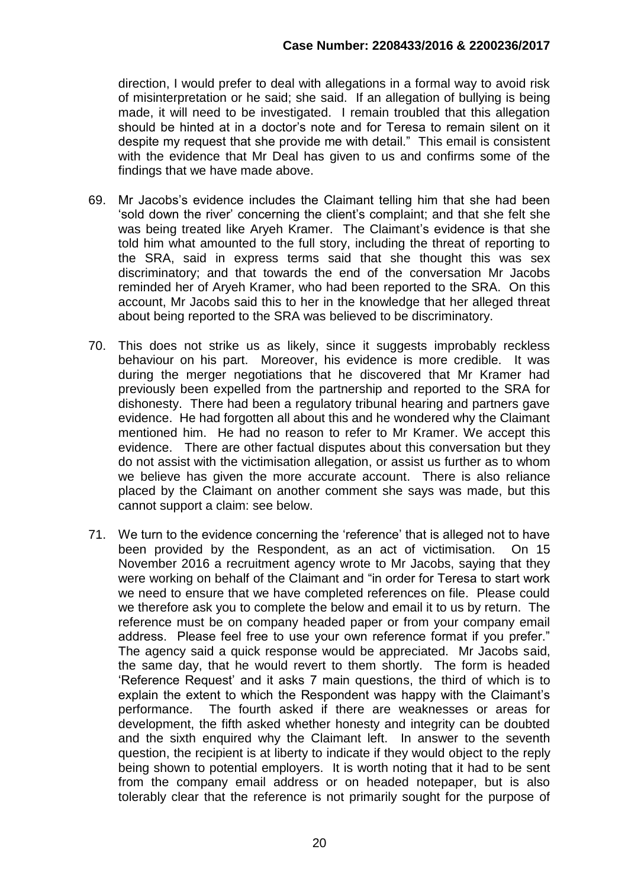direction, I would prefer to deal with allegations in a formal way to avoid risk of misinterpretation or he said; she said. If an allegation of bullying is being made, it will need to be investigated. I remain troubled that this allegation should be hinted at in a doctor's note and for Teresa to remain silent on it despite my request that she provide me with detail." This email is consistent with the evidence that Mr Deal has given to us and confirms some of the findings that we have made above.

- 69. Mr Jacobs's evidence includes the Claimant telling him that she had been 'sold down the river' concerning the client's complaint; and that she felt she was being treated like Aryeh Kramer. The Claimant's evidence is that she told him what amounted to the full story, including the threat of reporting to the SRA, said in express terms said that she thought this was sex discriminatory; and that towards the end of the conversation Mr Jacobs reminded her of Aryeh Kramer, who had been reported to the SRA. On this account, Mr Jacobs said this to her in the knowledge that her alleged threat about being reported to the SRA was believed to be discriminatory.
- 70. This does not strike us as likely, since it suggests improbably reckless behaviour on his part. Moreover, his evidence is more credible. It was during the merger negotiations that he discovered that Mr Kramer had previously been expelled from the partnership and reported to the SRA for dishonesty. There had been a regulatory tribunal hearing and partners gave evidence. He had forgotten all about this and he wondered why the Claimant mentioned him. He had no reason to refer to Mr Kramer. We accept this evidence. There are other factual disputes about this conversation but they do not assist with the victimisation allegation, or assist us further as to whom we believe has given the more accurate account. There is also reliance placed by the Claimant on another comment she says was made, but this cannot support a claim: see below.
- 71. We turn to the evidence concerning the 'reference' that is alleged not to have been provided by the Respondent, as an act of victimisation. On 15 November 2016 a recruitment agency wrote to Mr Jacobs, saying that they were working on behalf of the Claimant and "in order for Teresa to start work we need to ensure that we have completed references on file. Please could we therefore ask you to complete the below and email it to us by return. The reference must be on company headed paper or from your company email address. Please feel free to use your own reference format if you prefer." The agency said a quick response would be appreciated. Mr Jacobs said, the same day, that he would revert to them shortly. The form is headed 'Reference Request' and it asks 7 main questions, the third of which is to explain the extent to which the Respondent was happy with the Claimant's performance. The fourth asked if there are weaknesses or areas for development, the fifth asked whether honesty and integrity can be doubted and the sixth enquired why the Claimant left. In answer to the seventh question, the recipient is at liberty to indicate if they would object to the reply being shown to potential employers. It is worth noting that it had to be sent from the company email address or on headed notepaper, but is also tolerably clear that the reference is not primarily sought for the purpose of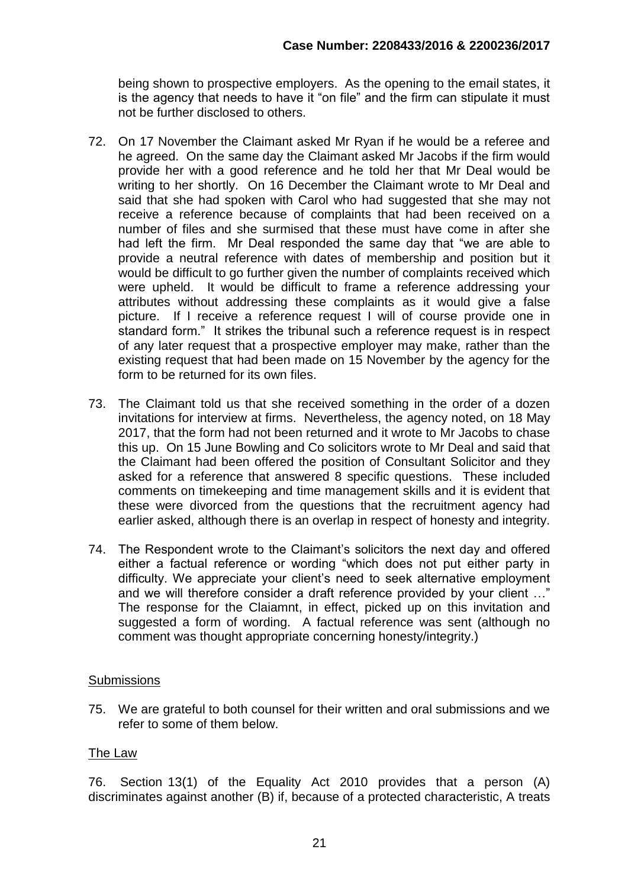being shown to prospective employers. As the opening to the email states, it is the agency that needs to have it "on file" and the firm can stipulate it must not be further disclosed to others.

- 72. On 17 November the Claimant asked Mr Ryan if he would be a referee and he agreed. On the same day the Claimant asked Mr Jacobs if the firm would provide her with a good reference and he told her that Mr Deal would be writing to her shortly. On 16 December the Claimant wrote to Mr Deal and said that she had spoken with Carol who had suggested that she may not receive a reference because of complaints that had been received on a number of files and she surmised that these must have come in after she had left the firm. Mr Deal responded the same day that "we are able to provide a neutral reference with dates of membership and position but it would be difficult to go further given the number of complaints received which were upheld. It would be difficult to frame a reference addressing your attributes without addressing these complaints as it would give a false picture. If I receive a reference request I will of course provide one in standard form." It strikes the tribunal such a reference request is in respect of any later request that a prospective employer may make, rather than the existing request that had been made on 15 November by the agency for the form to be returned for its own files.
- 73. The Claimant told us that she received something in the order of a dozen invitations for interview at firms. Nevertheless, the agency noted, on 18 May 2017, that the form had not been returned and it wrote to Mr Jacobs to chase this up. On 15 June Bowling and Co solicitors wrote to Mr Deal and said that the Claimant had been offered the position of Consultant Solicitor and they asked for a reference that answered 8 specific questions. These included comments on timekeeping and time management skills and it is evident that these were divorced from the questions that the recruitment agency had earlier asked, although there is an overlap in respect of honesty and integrity.
- 74. The Respondent wrote to the Claimant's solicitors the next day and offered either a factual reference or wording "which does not put either party in difficulty. We appreciate your client's need to seek alternative employment and we will therefore consider a draft reference provided by your client …" The response for the Claiamnt, in effect, picked up on this invitation and suggested a form of wording. A factual reference was sent (although no comment was thought appropriate concerning honesty/integrity.)

#### **Submissions**

75. We are grateful to both counsel for their written and oral submissions and we refer to some of them below.

#### The Law

76. Section 13(1) of the Equality Act 2010 provides that a person (A) discriminates against another (B) if, because of a protected characteristic, A treats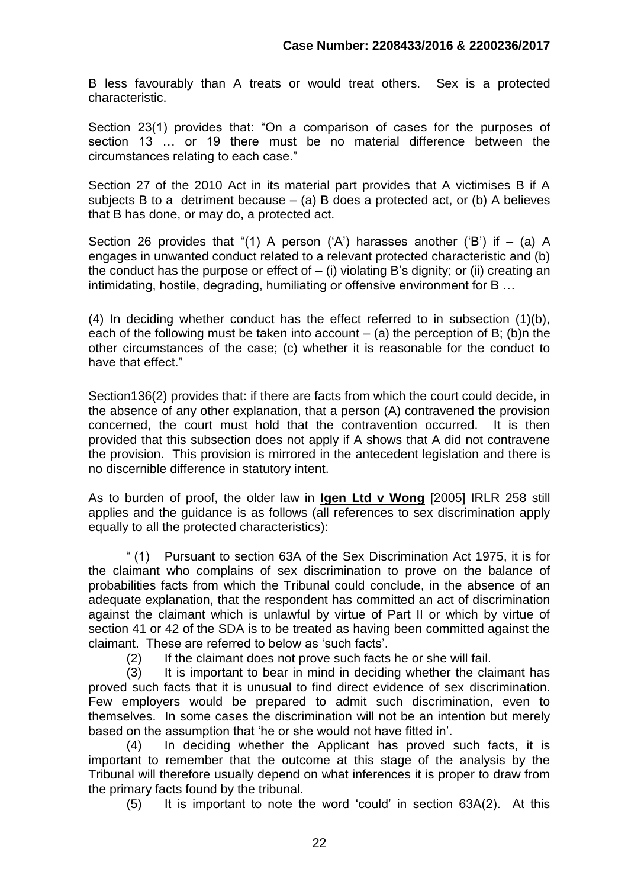B less favourably than A treats or would treat others. Sex is a protected characteristic.

Section 23(1) provides that: "On a comparison of cases for the purposes of section 13 … or 19 there must be no material difference between the circumstances relating to each case."

Section 27 of the 2010 Act in its material part provides that A victimises B if A subjects B to a detriment because  $-$  (a) B does a protected act, or (b) A believes that B has done, or may do, a protected act.

Section 26 provides that "(1) A person ('A') harasses another ('B') if  $-$  (a) A engages in unwanted conduct related to a relevant protected characteristic and (b) the conduct has the purpose or effect of  $-$  (i) violating B's dignity; or (ii) creating an intimidating, hostile, degrading, humiliating or offensive environment for B …

(4) In deciding whether conduct has the effect referred to in subsection (1)(b), each of the following must be taken into account  $-$  (a) the perception of B; (b)n the other circumstances of the case; (c) whether it is reasonable for the conduct to have that effect."

Section136(2) provides that: if there are facts from which the court could decide, in the absence of any other explanation, that a person (A) contravened the provision concerned, the court must hold that the contravention occurred. It is then provided that this subsection does not apply if A shows that A did not contravene the provision. This provision is mirrored in the antecedent legislation and there is no discernible difference in statutory intent.

As to burden of proof, the older law in **Igen Ltd v Wong** [2005] IRLR 258 still applies and the guidance is as follows (all references to sex discrimination apply equally to all the protected characteristics):

" (1) Pursuant to section 63A of the Sex Discrimination Act 1975, it is for the claimant who complains of sex discrimination to prove on the balance of probabilities facts from which the Tribunal could conclude, in the absence of an adequate explanation, that the respondent has committed an act of discrimination against the claimant which is unlawful by virtue of Part II or which by virtue of section 41 or 42 of the SDA is to be treated as having been committed against the claimant. These are referred to below as 'such facts'.

(2) If the claimant does not prove such facts he or she will fail.

(3) It is important to bear in mind in deciding whether the claimant has proved such facts that it is unusual to find direct evidence of sex discrimination. Few employers would be prepared to admit such discrimination, even to themselves. In some cases the discrimination will not be an intention but merely based on the assumption that 'he or she would not have fitted in'.

(4) In deciding whether the Applicant has proved such facts, it is important to remember that the outcome at this stage of the analysis by the Tribunal will therefore usually depend on what inferences it is proper to draw from the primary facts found by the tribunal.

(5) It is important to note the word 'could' in section 63A(2). At this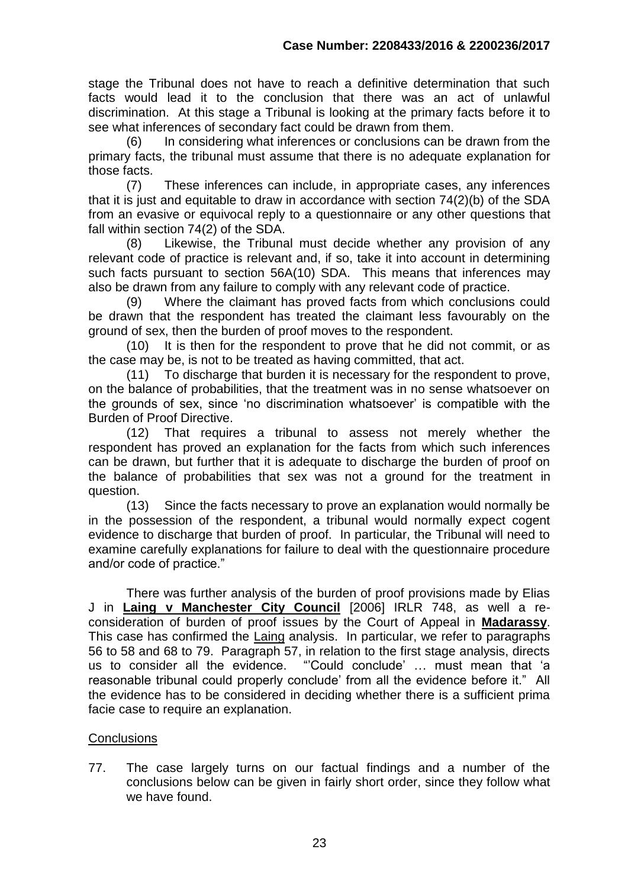stage the Tribunal does not have to reach a definitive determination that such facts would lead it to the conclusion that there was an act of unlawful discrimination. At this stage a Tribunal is looking at the primary facts before it to see what inferences of secondary fact could be drawn from them.

(6) In considering what inferences or conclusions can be drawn from the primary facts, the tribunal must assume that there is no adequate explanation for those facts.

(7) These inferences can include, in appropriate cases, any inferences that it is just and equitable to draw in accordance with section 74(2)(b) of the SDA from an evasive or equivocal reply to a questionnaire or any other questions that fall within section 74(2) of the SDA.

(8) Likewise, the Tribunal must decide whether any provision of any relevant code of practice is relevant and, if so, take it into account in determining such facts pursuant to section 56A(10) SDA.This means that inferences may also be drawn from any failure to comply with any relevant code of practice.

(9) Where the claimant has proved facts from which conclusions could be drawn that the respondent has treated the claimant less favourably on the ground of sex, then the burden of proof moves to the respondent.

(10) It is then for the respondent to prove that he did not commit, or as the case may be, is not to be treated as having committed, that act.

(11) To discharge that burden it is necessary for the respondent to prove, on the balance of probabilities, that the treatment was in no sense whatsoever on the grounds of sex, since 'no discrimination whatsoever' is compatible with the Burden of Proof Directive.

(12) That requires a tribunal to assess not merely whether the respondent has proved an explanation for the facts from which such inferences can be drawn, but further that it is adequate to discharge the burden of proof on the balance of probabilities that sex was not a ground for the treatment in question.

(13) Since the facts necessary to prove an explanation would normally be in the possession of the respondent, a tribunal would normally expect cogent evidence to discharge that burden of proof. In particular, the Tribunal will need to examine carefully explanations for failure to deal with the questionnaire procedure and/or code of practice."

There was further analysis of the burden of proof provisions made by Elias J in **Laing v Manchester City Council** [2006] IRLR 748, as well a reconsideration of burden of proof issues by the Court of Appeal in **Madarassy**. This case has confirmed the Laing analysis. In particular, we refer to paragraphs 56 to 58 and 68 to 79. Paragraph 57, in relation to the first stage analysis, directs us to consider all the evidence. "'Could conclude' … must mean that 'a reasonable tribunal could properly conclude' from all the evidence before it." All the evidence has to be considered in deciding whether there is a sufficient prima facie case to require an explanation.

# **Conclusions**

77. The case largely turns on our factual findings and a number of the conclusions below can be given in fairly short order, since they follow what we have found.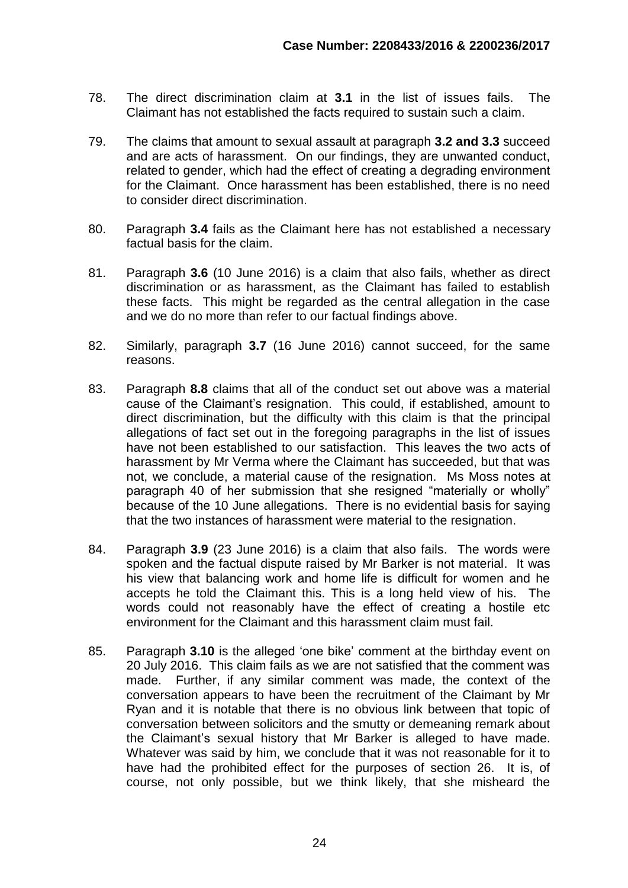- 78. The direct discrimination claim at **3.1** in the list of issues fails. The Claimant has not established the facts required to sustain such a claim.
- 79. The claims that amount to sexual assault at paragraph **3.2 and 3.3** succeed and are acts of harassment. On our findings, they are unwanted conduct, related to gender, which had the effect of creating a degrading environment for the Claimant. Once harassment has been established, there is no need to consider direct discrimination.
- 80. Paragraph **3.4** fails as the Claimant here has not established a necessary factual basis for the claim.
- 81. Paragraph **3.6** (10 June 2016) is a claim that also fails, whether as direct discrimination or as harassment, as the Claimant has failed to establish these facts. This might be regarded as the central allegation in the case and we do no more than refer to our factual findings above.
- 82. Similarly, paragraph **3.7** (16 June 2016) cannot succeed, for the same reasons.
- 83. Paragraph **8.8** claims that all of the conduct set out above was a material cause of the Claimant's resignation. This could, if established, amount to direct discrimination, but the difficulty with this claim is that the principal allegations of fact set out in the foregoing paragraphs in the list of issues have not been established to our satisfaction. This leaves the two acts of harassment by Mr Verma where the Claimant has succeeded, but that was not, we conclude, a material cause of the resignation. Ms Moss notes at paragraph 40 of her submission that she resigned "materially or wholly" because of the 10 June allegations. There is no evidential basis for saying that the two instances of harassment were material to the resignation.
- 84. Paragraph **3.9** (23 June 2016) is a claim that also fails. The words were spoken and the factual dispute raised by Mr Barker is not material. It was his view that balancing work and home life is difficult for women and he accepts he told the Claimant this. This is a long held view of his. The words could not reasonably have the effect of creating a hostile etc environment for the Claimant and this harassment claim must fail.
- 85. Paragraph **3.10** is the alleged 'one bike' comment at the birthday event on 20 July 2016. This claim fails as we are not satisfied that the comment was made. Further, if any similar comment was made, the context of the conversation appears to have been the recruitment of the Claimant by Mr Ryan and it is notable that there is no obvious link between that topic of conversation between solicitors and the smutty or demeaning remark about the Claimant's sexual history that Mr Barker is alleged to have made. Whatever was said by him, we conclude that it was not reasonable for it to have had the prohibited effect for the purposes of section 26. It is, of course, not only possible, but we think likely, that she misheard the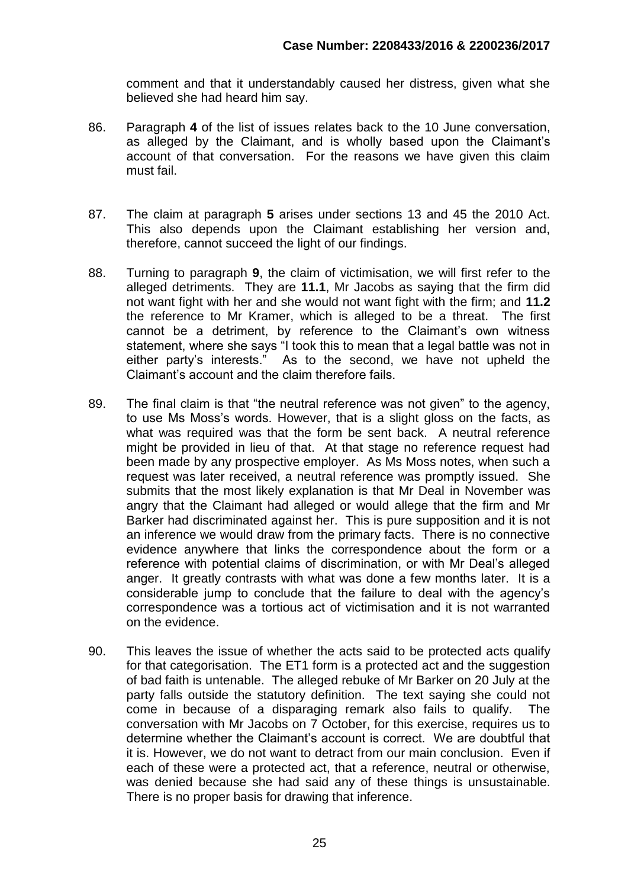comment and that it understandably caused her distress, given what she believed she had heard him say.

- 86. Paragraph **4** of the list of issues relates back to the 10 June conversation, as alleged by the Claimant, and is wholly based upon the Claimant's account of that conversation. For the reasons we have given this claim must fail.
- 87. The claim at paragraph **5** arises under sections 13 and 45 the 2010 Act. This also depends upon the Claimant establishing her version and, therefore, cannot succeed the light of our findings.
- 88. Turning to paragraph **9**, the claim of victimisation, we will first refer to the alleged detriments. They are **11.1**, Mr Jacobs as saying that the firm did not want fight with her and she would not want fight with the firm; and **11.2** the reference to Mr Kramer, which is alleged to be a threat. The first cannot be a detriment, by reference to the Claimant's own witness statement, where she says "I took this to mean that a legal battle was not in either party's interests." As to the second, we have not upheld the Claimant's account and the claim therefore fails.
- 89. The final claim is that "the neutral reference was not given" to the agency, to use Ms Moss's words. However, that is a slight gloss on the facts, as what was required was that the form be sent back. A neutral reference might be provided in lieu of that. At that stage no reference request had been made by any prospective employer. As Ms Moss notes, when such a request was later received, a neutral reference was promptly issued. She submits that the most likely explanation is that Mr Deal in November was angry that the Claimant had alleged or would allege that the firm and Mr Barker had discriminated against her. This is pure supposition and it is not an inference we would draw from the primary facts. There is no connective evidence anywhere that links the correspondence about the form or a reference with potential claims of discrimination, or with Mr Deal's alleged anger. It greatly contrasts with what was done a few months later. It is a considerable jump to conclude that the failure to deal with the agency's correspondence was a tortious act of victimisation and it is not warranted on the evidence.
- 90. This leaves the issue of whether the acts said to be protected acts qualify for that categorisation. The ET1 form is a protected act and the suggestion of bad faith is untenable. The alleged rebuke of Mr Barker on 20 July at the party falls outside the statutory definition. The text saying she could not come in because of a disparaging remark also fails to qualify. The conversation with Mr Jacobs on 7 October, for this exercise, requires us to determine whether the Claimant's account is correct. We are doubtful that it is. However, we do not want to detract from our main conclusion. Even if each of these were a protected act, that a reference, neutral or otherwise, was denied because she had said any of these things is unsustainable. There is no proper basis for drawing that inference.